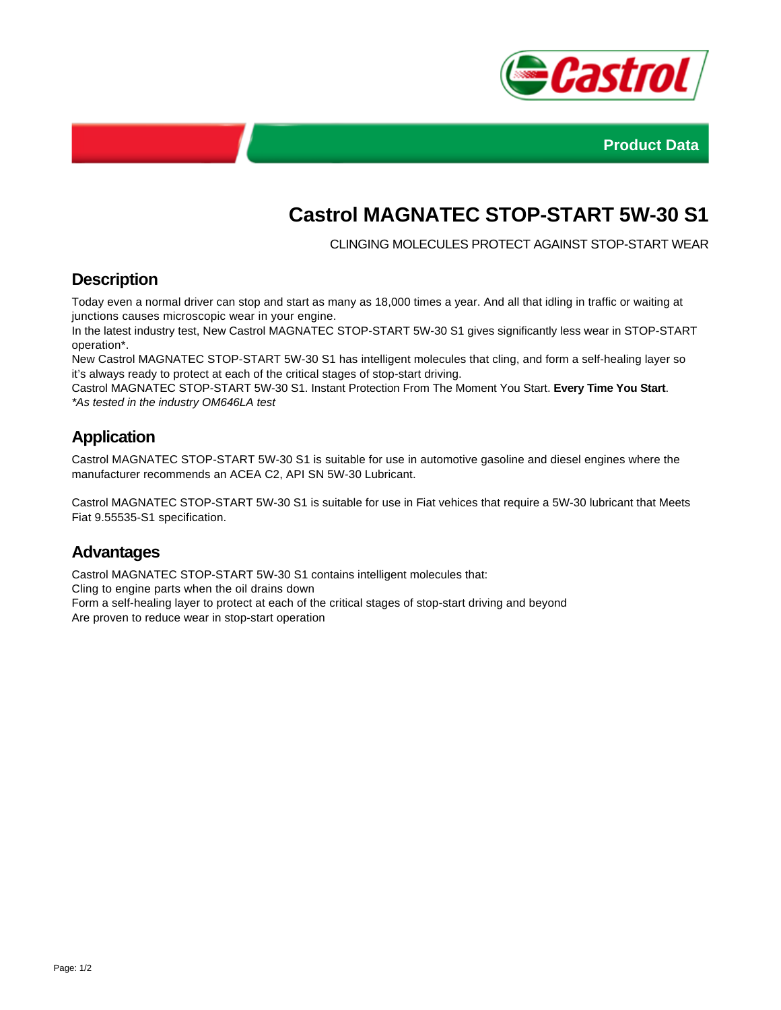



# **Castrol MAGNATEC STOP-START 5W-30 S1**

CLINGING MOLECULES PROTECT AGAINST STOP-START WEAR

### **Description**

Today even a normal driver can stop and start as many as 18,000 times a year. And all that idling in traffic or waiting at junctions causes microscopic wear in your engine.

In the latest industry test, New Castrol MAGNATEC STOP-START 5W-30 S1 gives significantly less wear in STOP-START operation\*.

New Castrol MAGNATEC STOP-START 5W-30 S1 has intelligent molecules that cling, and form a self-healing layer so it's always ready to protect at each of the critical stages of stop-start driving.

Castrol MAGNATEC STOP-START 5W-30 S1. Instant Protection From The Moment You Start. **Every Time You Start**. \*As tested in the industry OM646LA test

## **Application**

Castrol MAGNATEC STOP-START 5W-30 S1 is suitable for use in automotive gasoline and diesel engines where the manufacturer recommends an ACEA C2, API SN 5W-30 Lubricant.

Castrol MAGNATEC STOP-START 5W-30 S1 is suitable for use in Fiat vehices that require a 5W-30 lubricant that Meets Fiat 9.55535-S1 specification.

#### **Advantages**

Castrol MAGNATEC STOP-START 5W-30 S1 contains intelligent molecules that:

Cling to engine parts when the oil drains down

Form a self-healing layer to protect at each of the critical stages of stop-start driving and beyond Are proven to reduce wear in stop-start operation